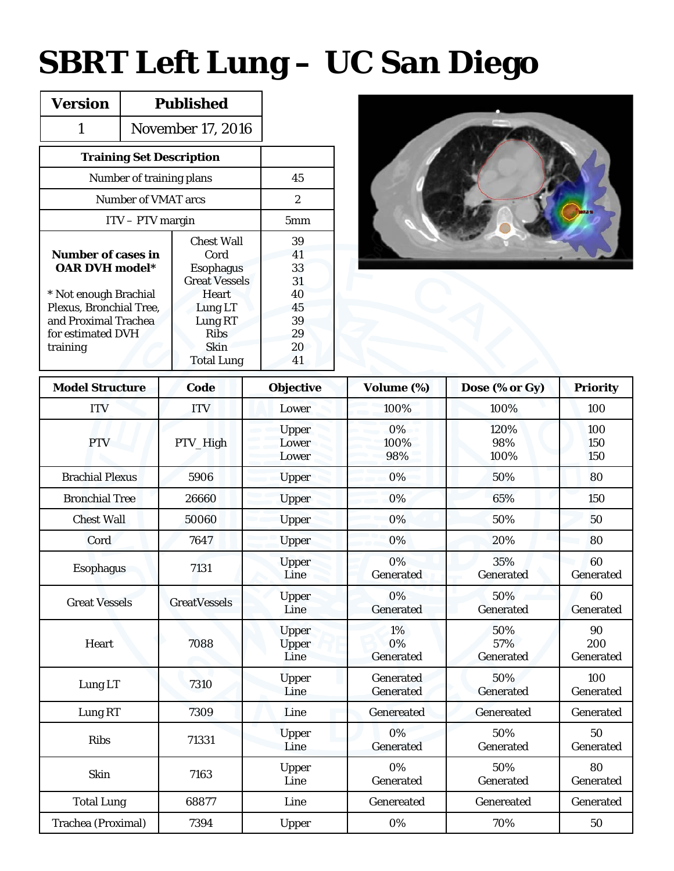## **SBRT Left Lung – UC San Diego**

| <b>Version</b>                                     | <b>Published</b>         |                      |    |
|----------------------------------------------------|--------------------------|----------------------|----|
| 1                                                  | <b>November 17, 2016</b> |                      |    |
| <b>Training Set Description</b>                    |                          |                      |    |
| Number of training plans                           | 45                       |                      |    |
| Number of VMAT arcs                                | $\mathbf{2}$             |                      |    |
| $ITV - PTV$ margin                                 | 5 <sub>mm</sub>          |                      |    |
|                                                    |                          | <b>Chest Wall</b>    | 39 |
| <b>Number of cases in</b><br><b>OAR DVH model*</b> |                          | Cord                 | 41 |
|                                                    |                          | <b>Esophagus</b>     | 33 |
|                                                    |                          | <b>Great Vessels</b> | 31 |
| * Not enough Brachial                              |                          | <b>Heart</b>         | 40 |
| Plexus, Bronchial Tree,                            |                          | Lung LT              | 45 |
| and Proximal Trachea                               |                          | Lung RT              | 39 |
| for estimated DVH                                  |                          | <b>Ribs</b>          | 29 |
| training                                           |                          | Skin                 | 20 |
|                                                    |                          | <b>Total Lung</b>    | 41 |



| <b>Model Structure</b> | Code                | <b>Objective</b>              | Volume (%)             | Dose (% or Gy)          | <b>Priority</b>        |  |  |
|------------------------|---------------------|-------------------------------|------------------------|-------------------------|------------------------|--|--|
| <b>ITV</b>             | <b>ITV</b>          | Lower                         | 100%                   | 100%                    | 100                    |  |  |
| <b>PTV</b>             | PTV_High            | Upper<br>Lower<br>Lower       | 0%<br>100%<br>98%      | 120%<br>98%<br>100%     | 100<br>150<br>150      |  |  |
| <b>Brachial Plexus</b> | 5906                | Upper                         | 0%                     | 50%                     | 80                     |  |  |
| <b>Bronchial Tree</b>  | 26660               | Upper                         | 0%                     | 65%                     | 150                    |  |  |
| <b>Chest Wall</b>      | 50060               | <b>Upper</b>                  | 0%                     | 50%                     | 50                     |  |  |
| Cord                   | 7647                | <b>Upper</b>                  | 0%                     | 20%                     | 80                     |  |  |
| <b>Esophagus</b>       | 7131                | <b>Upper</b><br>Line          | 0%<br>Generated        | 35%<br>Generated        | 60<br>Generated        |  |  |
| <b>Great Vessels</b>   | <b>GreatVessels</b> | <b>Upper</b><br>Line          | 0%<br>Generated        | 50%<br>Generated        | 60<br>Generated        |  |  |
| Heart                  | 7088                | <b>Upper</b><br>Upper<br>Line | 1%<br>0%<br>Generated  | 50%<br>57%<br>Generated | 90<br>200<br>Generated |  |  |
| Lung LT                | 7310                | Upper<br>Line                 | Generated<br>Generated | 50%<br>Generated        | 100<br>Generated       |  |  |
| Lung RT                | 7309                | Line                          | Genereated             | Genereated              | Generated              |  |  |
| <b>Ribs</b>            | 71331               | <b>Upper</b><br>Line          | 0%<br>Generated        | 50%<br>Generated        | 50<br>Generated        |  |  |
| <b>Skin</b>            | 7163                | Upper<br>Line                 | 0%<br>Generated        | 50%<br>Generated        | 80<br>Generated        |  |  |
| <b>Total Lung</b>      | 68877               | Line                          | Genereated             | Genereated              | Generated              |  |  |
| Trachea (Proximal)     | 7394                | Upper                         | 0%                     | 70%                     | 50                     |  |  |